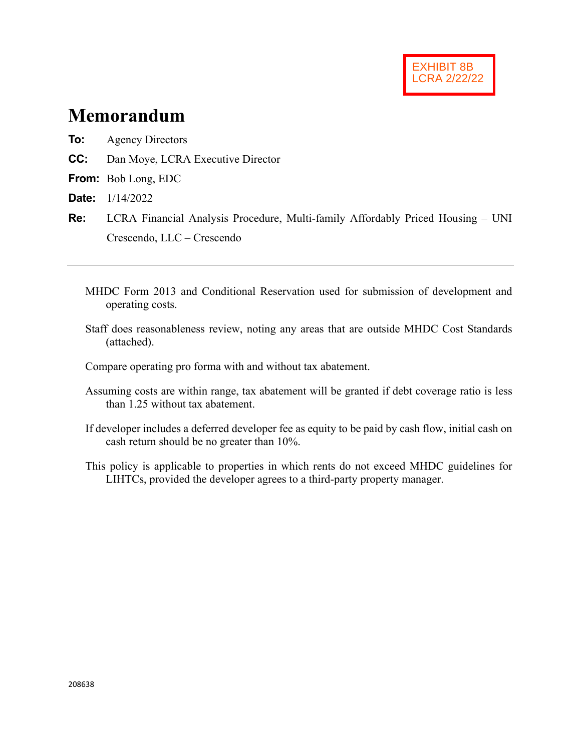# **Memorandum**

- **To:** Agency Directors
- **CC:** Dan Moye, LCRA Executive Director
- **From:** Bob Long, EDC
- **Date:** 1/14/2022
- **Re:** LCRA Financial Analysis Procedure, Multi-family Affordably Priced Housing UNI Crescendo, LLC – Crescendo
	- MHDC Form 2013 and Conditional Reservation used for submission of development and operating costs.
	- Staff does reasonableness review, noting any areas that are outside MHDC Cost Standards (attached).

Compare operating pro forma with and without tax abatement.

- Assuming costs are within range, tax abatement will be granted if debt coverage ratio is less than 1.25 without tax abatement.
- If developer includes a deferred developer fee as equity to be paid by cash flow, initial cash on cash return should be no greater than 10%.
- This policy is applicable to properties in which rents do not exceed MHDC guidelines for LIHTCs, provided the developer agrees to a third-party property manager.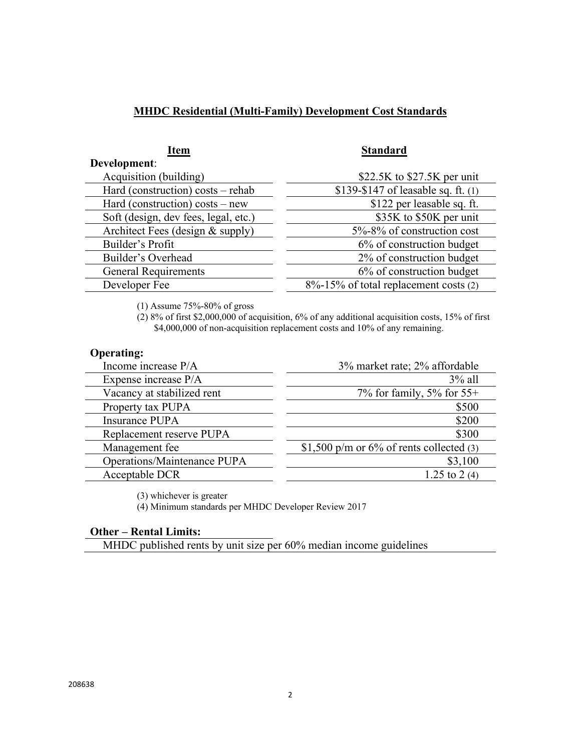### **MHDC Residential (Multi-Family) Development Cost Standards**

| <b>Item</b>                          | <b>Standard</b>                       |
|--------------------------------------|---------------------------------------|
| Development:                         |                                       |
| Acquisition (building)               | \$22.5K to $$27.5K$ per unit          |
| Hard (construction) costs - rehab    | \$139-\$147 of leasable sq. ft. (1)   |
| Hard (construction) $costs$ – new    | \$122 per leasable sq. ft.            |
| Soft (design, dev fees, legal, etc.) | \$35K to \$50K per unit               |
| Architect Fees (design & supply)     | 5%-8% of construction cost            |
| Builder's Profit                     | 6% of construction budget             |
| Builder's Overhead                   | 2% of construction budget             |
| <b>General Requirements</b>          | 6% of construction budget             |
| Developer Fee                        | 8%-15% of total replacement costs (2) |

(1) Assume 75%-80% of gross

(2) 8% of first \$2,000,000 of acquisition, 6% of any additional acquisition costs, 15% of first \$4,000,000 of non-acquisition replacement costs and 10% of any remaining.

#### **Operating:**

| Income increase P/A         | 3% market rate; 2% affordable               |
|-----------------------------|---------------------------------------------|
| Expense increase P/A        | $3\%$ all                                   |
| Vacancy at stabilized rent  | 7% for family, 5% for $55+$                 |
| Property tax PUPA           | \$500                                       |
| Insurance PUPA              | \$200                                       |
| Replacement reserve PUPA    | \$300                                       |
| Management fee              | \$1,500 p/m or $6\%$ of rents collected (3) |
| Operations/Maintenance PUPA | \$3,100                                     |
| Acceptable DCR              | 1.25 to 2 (4)                               |
|                             |                                             |

(3) whichever is greater

(4) Minimum standards per MHDC Developer Review 2017

#### **Other – Rental Limits:**

MHDC published rents by unit size per 60% median income guidelines